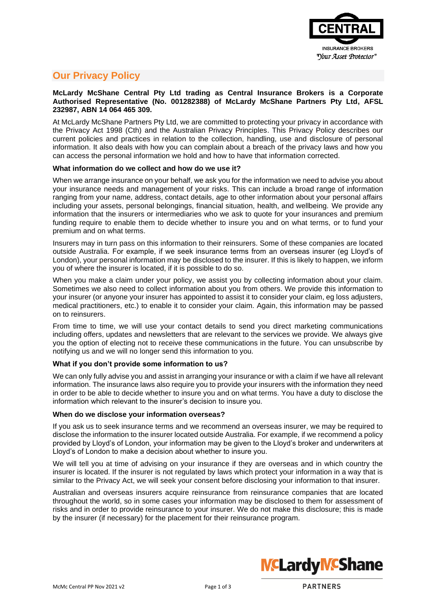

# **Our Privacy Policy**

# **McLardy McShane Central Pty Ltd trading as Central Insurance Brokers is a Corporate Authorised Representative (No. 001282388) of McLardy McShane Partners Pty Ltd, AFSL 232987, ABN 14 064 465 309.**

At McLardy McShane Partners Pty Ltd, we are committed to protecting your privacy in accordance with the Privacy Act 1998 (Cth) and the Australian Privacy Principles. This Privacy Policy describes our current policies and practices in relation to the collection, handling, use and disclosure of personal information. It also deals with how you can complain about a breach of the privacy laws and how you can access the personal information we hold and how to have that information corrected.

# **What information do we collect and how do we use it?**

When we arrange insurance on your behalf, we ask you for the information we need to advise you about your insurance needs and management of your risks. This can include a broad range of information ranging from your name, address, contact details, age to other information about your personal affairs including your assets, personal belongings, financial situation, health, and wellbeing. We provide any information that the insurers or intermediaries who we ask to quote for your insurances and premium funding require to enable them to decide whether to insure you and on what terms, or to fund your premium and on what terms.

Insurers may in turn pass on this information to their reinsurers. Some of these companies are located outside Australia. For example, if we seek insurance terms from an overseas insurer (eg Lloyd's of London), your personal information may be disclosed to the insurer. If this is likely to happen, we inform you of where the insurer is located, if it is possible to do so.

When you make a claim under your policy, we assist you by collecting information about your claim. Sometimes we also need to collect information about you from others. We provide this information to your insurer (or anyone your insurer has appointed to assist it to consider your claim, eg loss adjusters, medical practitioners, etc.) to enable it to consider your claim. Again, this information may be passed on to reinsurers.

From time to time, we will use your contact details to send you direct marketing communications including offers, updates and newsletters that are relevant to the services we provide. We always give you the option of electing not to receive these communications in the future. You can unsubscribe by notifying us and we will no longer send this information to you.

# **What if you don't provide some information to us?**

We can only fully advise you and assist in arranging your insurance or with a claim if we have all relevant information. The insurance laws also require you to provide your insurers with the information they need in order to be able to decide whether to insure you and on what terms. You have a duty to disclose the information which relevant to the insurer's decision to insure you.

# **When do we disclose your information overseas?**

If you ask us to seek insurance terms and we recommend an overseas insurer, we may be required to disclose the information to the insurer located outside Australia. For example, if we recommend a policy provided by Lloyd's of London, your information may be given to the Lloyd's broker and underwriters at Lloyd's of London to make a decision about whether to insure you.

We will tell you at time of advising on your insurance if they are overseas and in which country the insurer is located. If the insurer is not regulated by laws which protect your information in a way that is similar to the Privacy Act, we will seek your consent before disclosing your information to that insurer.

Australian and overseas insurers acquire reinsurance from reinsurance companies that are located throughout the world, so in some cases your information may be disclosed to them for assessment of risks and in order to provide reinsurance to your insurer. We do not make this disclosure; this is made by the insurer (if necessary) for the placement for their reinsurance program.



**PARTNERS**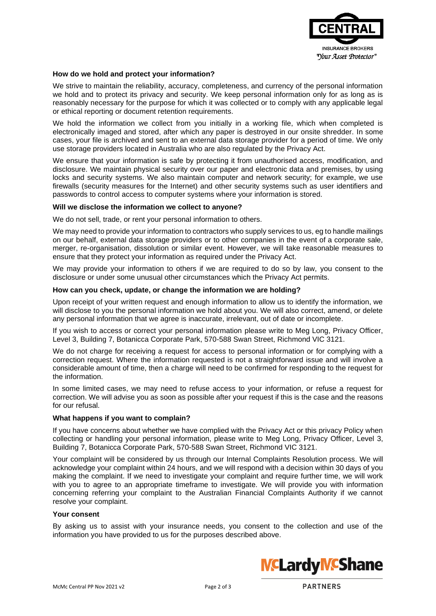

## **How do we hold and protect your information?**

We strive to maintain the reliability, accuracy, completeness, and currency of the personal information we hold and to protect its privacy and security. We keep personal information only for as long as is reasonably necessary for the purpose for which it was collected or to comply with any applicable legal or ethical reporting or document retention requirements.

We hold the information we collect from you initially in a working file, which when completed is electronically imaged and stored, after which any paper is destroyed in our onsite shredder. In some cases, your file is archived and sent to an external data storage provider for a period of time. We only use storage providers located in Australia who are also regulated by the Privacy Act.

We ensure that your information is safe by protecting it from unauthorised access, modification, and disclosure. We maintain physical security over our paper and electronic data and premises, by using locks and security systems. We also maintain computer and network security; for example, we use firewalls (security measures for the Internet) and other security systems such as user identifiers and passwords to control access to computer systems where your information is stored.

#### **Will we disclose the information we collect to anyone?**

We do not sell, trade, or rent your personal information to others.

We may need to provide your information to contractors who supply services to us, eg to handle mailings on our behalf, external data storage providers or to other companies in the event of a corporate sale, merger, re-organisation, dissolution or similar event. However, we will take reasonable measures to ensure that they protect your information as required under the Privacy Act.

We may provide your information to others if we are required to do so by law, you consent to the disclosure or under some unusual other circumstances which the Privacy Act permits.

#### **How can you check, update, or change the information we are holding?**

Upon receipt of your written request and enough information to allow us to identify the information, we will disclose to you the personal information we hold about you. We will also correct, amend, or delete any personal information that we agree is inaccurate, irrelevant, out of date or incomplete.

If you wish to access or correct your personal information please write to Meg Long, Privacy Officer, Level 3, Building 7, Botanicca Corporate Park, 570-588 Swan Street, Richmond VIC 3121.

We do not charge for receiving a request for access to personal information or for complying with a correction request. Where the information requested is not a straightforward issue and will involve a considerable amount of time, then a charge will need to be confirmed for responding to the request for the information.

In some limited cases, we may need to refuse access to your information, or refuse a request for correction. We will advise you as soon as possible after your request if this is the case and the reasons for our refusal.

#### **What happens if you want to complain?**

If you have concerns about whether we have complied with the Privacy Act or this privacy Policy when collecting or handling your personal information, please write to Meg Long, Privacy Officer, Level 3, Building 7, Botanicca Corporate Park, 570-588 Swan Street, Richmond VIC 3121.

Your complaint will be considered by us through our Internal Complaints Resolution process. We will acknowledge your complaint within 24 hours, and we will respond with a decision within 30 days of you making the complaint. If we need to investigate your complaint and require further time, we will work with you to agree to an appropriate timeframe to investigate. We will provide you with information concerning referring your complaint to the Australian Financial Complaints Authority if we cannot resolve your complaint.

### **Your consent**

By asking us to assist with your insurance needs, you consent to the collection and use of the information you have provided to us for the purposes described above.